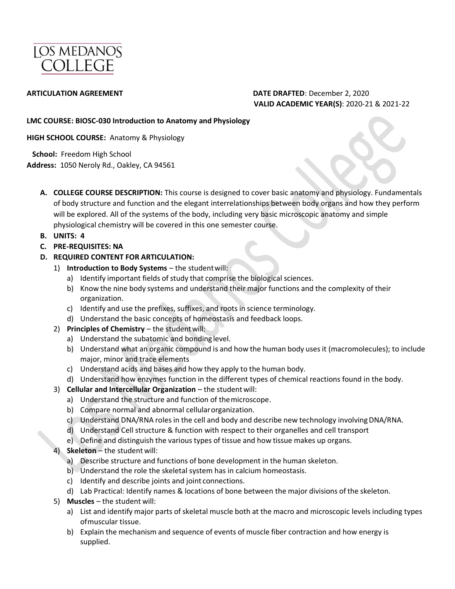

### **ARTICULATION AGREEMENT DATE DRAFTED**: December 2, 2020 **VALID ACADEMIC YEAR(S)**: 2020-21 & 2021-22

#### **LMC COURSE: BIOSC-030 Introduction to Anatomy and Physiology**

**HIGH SCHOOL COURSE:** Anatomy & Physiology

 **School:** Freedom High School **Address:** 1050 Neroly Rd., Oakley, CA 94561

**A. COLLEGE COURSE DESCRIPTION:** This course is designed to cover basic anatomy and physiology. Fundamentals of body structure and function and the elegant interrelationships between body organs and how they perform will be explored. All of the systems of the body, including very basic microscopic anatomy and simple physiological chemistry will be covered in this one semester course.

- **B. UNITS: 4**
- **C. PRE-REQUISITES: NA**
- **D. REQUIRED CONTENT FOR ARTICULATION:** 
	- 1) **Introduction to Body Systems**  the studentwill:
		- a) Identify important fields of study that comprise the biological sciences.
		- b) Know the nine body systems and understand their major functions and the complexity of their organization.
		- c) Identify and use the prefixes, suffixes, and roots in science terminology.
		- d) Understand the basic concepts of homeostasis and feedback loops.
	- 2) **Principles of Chemistry** the student will:
		- a) Understand the subatomic and bonding level.
		- b) Understand what an organic compound is and how the human body uses it (macromolecules); to include major, minor and trace elements
		- c) Understand acids and bases and how they apply to the human body.
		- d) Understand how enzymes function in the different types of chemical reactions found in the body.
	- 3) **Cellular and Intercellular Organization**  the studentwill:
		- a) Understand the structure and function of themicroscope.
		- b) Compare normal and abnormal cellularorganization.
		- c) Understand DNA/RNA roles in the cell and body and describe new technology involvingDNA/RNA.
		- d) Understand Cell structure & function with respect to their organelles and cell transport
		- e) Define and distinguish the various types of tissue and how tissue makes up organs.

### 4) **Skeleton** – the student will:

- a) Describe structure and functions of bone development in the human skeleton.
- b) Understand the role the skeletal system has in calcium homeostasis.
- c) Identify and describe joints and joint connections.
- d) Lab Practical: Identify names & locations of bone between the major divisions of the skeleton.
- 5) **Muscles**  the student will:
	- a) List and identify major parts of skeletal muscle both at the macro and microscopic levels including types ofmuscular tissue.
	- b) Explain the mechanism and sequence of events of muscle fiber contraction and how energy is supplied.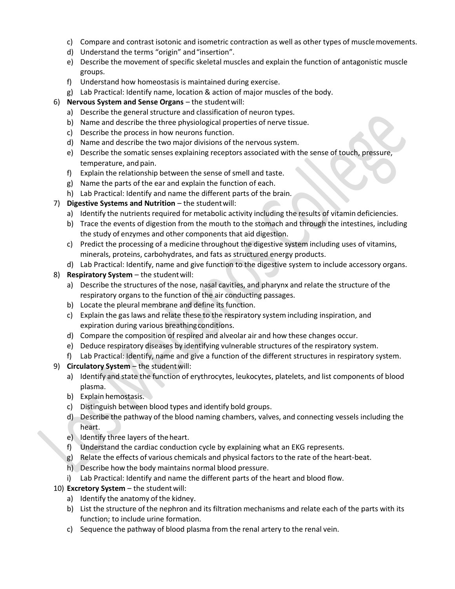- c) Compare and contrast isotonic and isometric contraction as well as other types of musclemovements.
- d) Understand the terms "origin" and"insertion".
- e) Describe the movement of specific skeletal muscles and explain the function of antagonistic muscle groups.
- f) Understand how homeostasis is maintained during exercise.
- g) Lab Practical: Identify name, location & action of major muscles of the body.
- 6) **Nervous System and Sense Organs**  the studentwill:
	- a) Describe the general structure and classification of neuron types.
	- b) Name and describe the three physiological properties of nerve tissue.
	- c) Describe the process in how neurons function.
	- d) Name and describe the two major divisions of the nervous system.
	- e) Describe the somatic senses explaining receptors associated with the sense of touch, pressure, temperature, and pain.
	- f) Explain the relationship between the sense of smell and taste.
	- g) Name the parts of the ear and explain the function of each.
	- h) Lab Practical: Identify and name the different parts of the brain.
- 7) **Digestive Systems and Nutrition** the student will:
	- a) Identify the nutrients required for metabolic activity including the results of vitamin deficiencies.
	- b) Trace the events of digestion from the mouth to the stomach and through the intestines, including the study of enzymes and other components that aid digestion.
	- c) Predict the processing of a medicine throughout the digestive system including uses of vitamins, minerals, proteins, carbohydrates, and fats as structured energy products.
	- d) Lab Practical: Identify, name and give function to the digestive system to include accessory organs.
- 8) **Respiratory System** the student will:
	- a) Describe the structures of the nose, nasal cavities, and pharynx and relate the structure of the respiratory organs to the function of the air conducting passages.
	- b) Locate the pleural membrane and define its function.
	- c) Explain the gas laws and relate these to the respiratory system including inspiration, and expiration during various breathingconditions.
	- d) Compare the composition of respired and alveolar air and how these changes occur.
	- e) Deduce respiratory diseases by identifying vulnerable structures of the respiratory system.
	- f) Lab Practical: Identify, name and give a function of the different structures in respiratory system.

### 9) **Circulatory System** – the student will:

- a) Identify and state the function of erythrocytes, leukocytes, platelets, and list components of blood plasma.
- b) Explain hemostasis.
- c) Distinguish between blood types and identify bold groups.
- d) Describe the pathway of the blood naming chambers, valves, and connecting vessels including the heart.
- e) Identify three layers of the heart.
- f) Understand the cardiac conduction cycle by explaining what an EKG represents.
- g) Relate the effects of various chemicals and physical factors to the rate of the heart-beat.
- h) Describe how the body maintains normal blood pressure.
- i) Lab Practical: Identify and name the different parts of the heart and blood flow.

### 10) **Excretory System** - the student will:

- a) Identify the anatomy of the kidney.
- b) List the structure of the nephron and its filtration mechanisms and relate each of the parts with its function; to include urine formation.
- c) Sequence the pathway of blood plasma from the renal artery to the renal vein.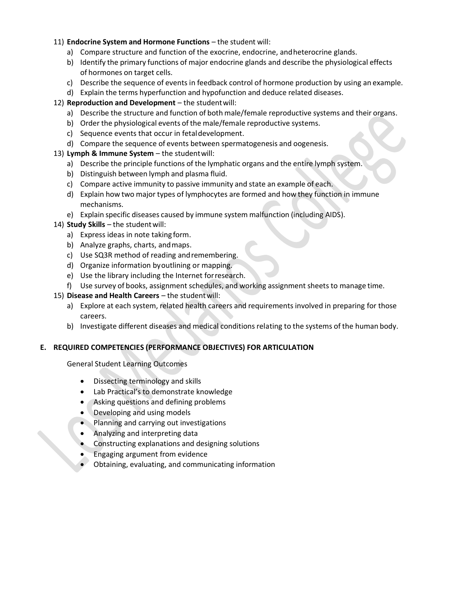#### 11) **Endocrine System and Hormone Functions** – the student will:

- a) Compare structure and function of the exocrine, endocrine, andheterocrine glands.
- b) Identify the primary functions of major endocrine glands and describe the physiological effects of hormones on target cells.
- c) Describe the sequence of events in feedback control of hormone production by using an example.
- d) Explain the terms hyperfunction and hypofunction and deduce related diseases.
- 12) **Reproduction and Development** the student will:
	- a) Describe the structure and function of both male/female reproductive systems and their organs.
	- b) Order the physiological events of the male/female reproductive systems.
	- c) Sequence events that occur in fetaldevelopment.
	- d) Compare the sequence of events between spermatogenesis and oogenesis.
- 13) **Lymph & Immune System**  the studentwill:
	- a) Describe the principle functions of the lymphatic organs and the entire lymph system.
	- b) Distinguish between lymph and plasma fluid.
	- c) Compare active immunity to passive immunity and state an example of each.
	- d) Explain how two major types of lymphocytes are formed and how they function in immune mechanisms.
	- e) Explain specific diseases caused by immune system malfunction (including AIDS).
- 14) **Study Skills** the student will:
	- a) Express ideas in note taking form.
	- b) Analyze graphs, charts, andmaps.
	- c) Use SQ3R method of reading andremembering.
	- d) Organize information byoutlining or mapping.
	- e) Use the library including the Internet forresearch.
	- f) Use survey of books, assignment schedules, and working assignment sheets to manage time.
- 15) **Disease and Health Careers** the student will:
	- a) Explore at each system, related health careers and requirements involved in preparing for those careers.
	- b) Investigate different diseases and medical conditions relating to the systems of the human body.

### **E. REQUIRED COMPETENCIES (PERFORMANCE OBJECTIVES) FOR ARTICULATION**

General Student Learning Outcomes

- Dissecting terminology and skills
- Lab Practical's to demonstrate knowledge
- Asking questions and defining problems
- Developing and using models
- Planning and carrying out investigations
- Analyzing and interpreting data
- Constructing explanations and designing solutions
- Engaging argument from evidence
- Obtaining, evaluating, and communicating information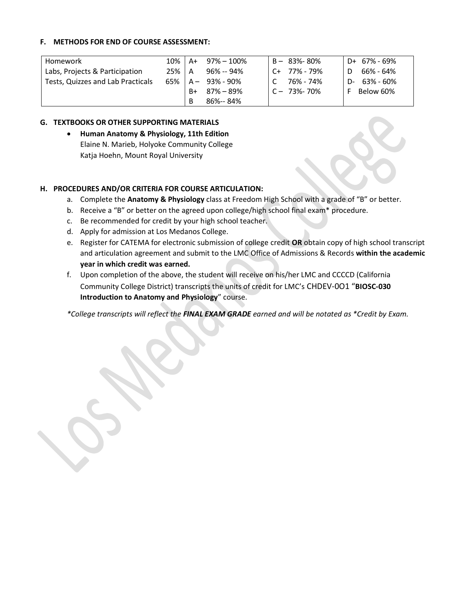#### **F. METHODS FOR END OF COURSE ASSESSMENT:**

| Homework                          | $10\%$   A+ |    | 97% – 100%               | $B - 83% - 80%$  |    | D+ 67% - 69% |
|-----------------------------------|-------------|----|--------------------------|------------------|----|--------------|
| Labs, Projects & Participation    | $25\%$   A  |    | 96% -- 94%               | $C+ 77\% - 79\%$ | D. | 66% - 64%    |
| Tests, Quizzes and Lab Practicals |             |    | $65\%$   A $-$ 93% - 90% | 76% - 74%        | D- | 63% - 60%    |
|                                   |             | B+ | 87% – 89%                | $C - 73% - 70%$  |    | Below 60%    |
|                                   |             | B  | 86%-- 84%                |                  |    |              |

#### **G. TEXTBOOKS OR OTHER SUPPORTING MATERIALS**

• **Human Anatomy & Physiology, 11th Edition** Elaine N. Marieb, Holyoke Community College Katja Hoehn, Mount Royal University

#### **H. PROCEDURES AND/OR CRITERIA FOR COURSE ARTICULATION:**

- a. Complete the **Anatomy & Physiology** class at Freedom High School with a grade of "B" or better.
- b. Receive a "B" or better on the agreed upon college/high school final exam\* procedure.
- c. Be recommended for credit by your high school teacher.
- d. Apply for admission at Los Medanos College.
- e. Register for CATEMA for electronic submission of college credit **OR** obtain copy of high school transcript and articulation agreement and submit to the LMC Office of Admissions & Records **within the academic year in which credit was earned.**
- f. Upon completion of the above, the student will receive on his/her LMC and CCCCD (California Community College District) transcripts the units of credit for LMC's CHDEV-0O1 "**BIOSC-030 Introduction to Anatomy and Physiology**" course.

*\*College transcripts will reflect the FINAL EXAM GRADE earned and will be notated as \*Credit by Exam.*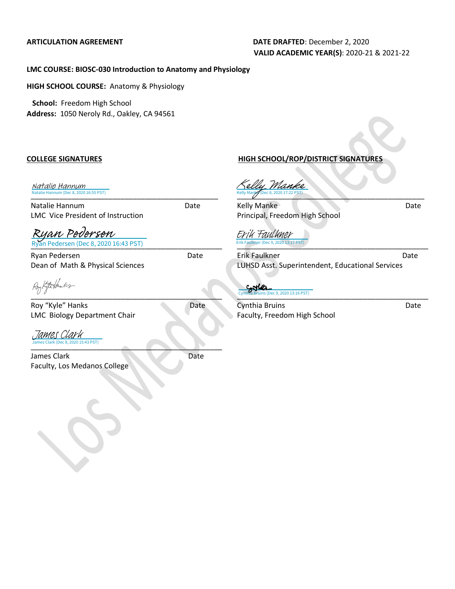#### **ARTICULATION AGREEMENT DATE DRAFTED**: December 2, 2020 **VALID ACADEMIC YEAR(S)**: 2020-21 & 2021-22

#### **LMC COURSE: BIOSC-030 Introduction to Anatomy and Physiology**

**HIGH SCHOOL COURSE:** Anatomy & Physiology

 **School:** Freedom High School **Address:** 1050 Neroly Rd., Oakley, CA 94561

[\\_\\_\\_\\_\\_\\_\\_\\_\\_\\_\\_\\_\\_\\_\\_\\_\\_\\_\\_\\_\\_\\_\\_\\_\\_\\_\\_\\_\\_\\_\\_\\_\\_\\_\\_\\_\\_\\_\\_](https://lmck-12partnership.na2.echosign.com/verifier?tx=CBJCHBCAABAAs6FLTfvYD-jDlFJSTZAZNfS_pI_vO5kN)\_\_\_\_\_\_\_ Natalie Hannum (Dec 8, 2020 16:55 PST) Natalie Hannum

Natalie Hannum Date LMC Vice President of Instruction

\_\_\_\_\_\_\_\_\_\_\_\_\_\_\_\_\_\_\_\_\_\_\_\_\_\_\_\_\_\_\_\_\_\_\_\_\_\_\_\_\_\_\_\_\_\_\_ Ryan Pedersen (Dec 8, 2020 16:43 PST) [Ryan Pedersen](https://lmck-12partnership.na2.echosign.com/verifier?tx=CBJCHBCAABAAs6FLTfvYD-jDlFJSTZAZNfS_pI_vO5kN)

Ryan Pedersen Date Dean of Math & Physical Sciences

 $\frac{U \, U}{U}$ 

Roy "Kyle" Hanks Date LMC Biology Department Chair

 $\blacksquare$ 43 PST) [James Clark](https://lmck-12partnership.na2.echosign.com/verifier?tx=CBJCHBCAABAAs6FLTfvYD-jDlFJSTZAZNfS_pI_vO5kN)

James Clark Date Faculty, Los Medanos College

**COLLEGE SIGNATURES HIGH SCHOOL/ROP/DISTRICT SIGNATURES**

 $\text{ReLU}$  Manisque 8, 2020 17:22 PST) [Kelly Manke](https://lmck-12partnership.na2.echosign.com/verifier?tx=CBJCHBCAABAAs6FLTfvYD-jDlFJSTZAZNfS_pI_vO5kN)

Kelly Manke Date Principal, Freedom High School

[\\_\\_\\_\\_\\_\\_\\_\\_\\_\\_\\_\\_\\_\\_\\_\\_\\_\\_\\_\\_\\_\\_\\_\\_\\_\\_\\_\\_\\_\\_\\_\\_\\_\\_\\_\\_\\_\\_\\_](https://lmck-12partnership.na2.echosign.com/verifier?tx=CBJCHBCAABAAs6FLTfvYD-jDlFJSTZAZNfS_pI_vO5kN)\_\_\_\_\_\_\_\_ Erik Faulkner (Dec 9, 2020 13:17 PST) Erik Faulkner

Erik Faulkner Date LUHSD Asst. Superintendent, Educational Services

[\\_\\_\\_\\_\\_\\_\\_\\_\\_\\_\\_\\_\\_\\_\\_\\_\\_\\_\\_\\_\\_\\_\\_\\_\\_\\_\\_\\_\\_\\_\\_\\_\\_\\_\\_\\_\\_\\_\\_](https://secure.na2.adobesign.com/verifier?tx=CBJCHBCAABAAs6FLTfvYD-jDlFJSTZAZNfS_pI_vO5kN)\_\_\_\_\_\_\_\_ c 9, 2020 13:16 PST)

Cynthia Bruins **Date** Faculty, Freedom High School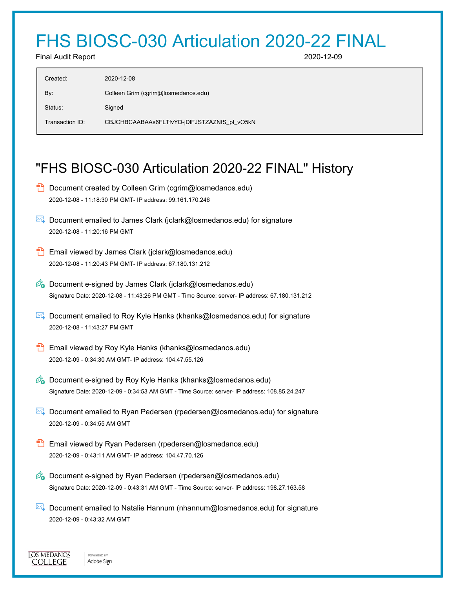# FHS BIOSC-030 Articulation 2020-22 FINAL

Final Audit Report 2020-12-09

| Created:        | 2020-12-08                                   |
|-----------------|----------------------------------------------|
| By:             | Colleen Grim (cgrim@losmedanos.edu)          |
| Status:         | Signed                                       |
| Transaction ID: | CBJCHBCAABAAs6FLTfvYD-jDIFJSTZAZNfS pl vO5kN |
|                 |                                              |

## "FHS BIOSC-030 Articulation 2020-22 FINAL" History

| ٣ | Document created by Colleen Grim (cgrim@losmedanos.edu)<br>2020-12-08 - 11:18:30 PM GMT- IP address: 99.161.170.246                                                                    |
|---|----------------------------------------------------------------------------------------------------------------------------------------------------------------------------------------|
|   | ►↓ Document emailed to James Clark (jclark@losmedanos.edu) for signature<br>2020-12-08 - 11:20:16 PM GMT                                                                               |
|   | Email viewed by James Clark (jclark@losmedanos.edu)<br>2020-12-08 - 11:20:43 PM GMT- IP address: 67.180.131.212                                                                        |
|   | $\mathscr{O}_{\mathbf{G}}$ Document e-signed by James Clark (jclark@losmedanos.edu)<br>Signature Date: 2020-12-08 - 11:43:26 PM GMT - Time Source: server- IP address: 67.180.131.212  |
|   | Document emailed to Roy Kyle Hanks (khanks@losmedanos.edu) for signature<br>2020-12-08 - 11:43:27 PM GMT                                                                               |
|   | Email viewed by Roy Kyle Hanks (khanks@losmedanos.edu)<br>2020-12-09 - 0:34:30 AM GMT- IP address: 104.47.55.126                                                                       |
|   | $\mathscr{O}_{\mathbf{G}}$ Document e-signed by Roy Kyle Hanks (khanks@losmedanos.edu)<br>Signature Date: 2020-12-09 - 0:34:53 AM GMT - Time Source: server- IP address: 108.85.24.247 |
|   | ⊠ Document emailed to Ryan Pedersen (rpedersen@losmedanos.edu) for signature<br>2020-12-09 - 0:34:55 AM GMT                                                                            |
|   | Email viewed by Ryan Pedersen (rpedersen@losmedanos.edu)<br>2020-12-09 - 0.43:11 AM GMT- IP address: 104.47.70.126                                                                     |
|   | $\mathscr{O}_\bullet$ Document e-signed by Ryan Pedersen (rpedersen@losmedanos.edu)                                                                                                    |

**Document emailed to Natalie Hannum (nhannum@losmedanos.edu) for signature** 2020-12-09 - 0:43:32 AM GMT

Signature Date: 2020-12-09 - 0:43:31 AM GMT - Time Source: server- IP address: 198.27.163.58

**LOS MEDANOS** COLLEGE

POWERED BY Adobe Sign